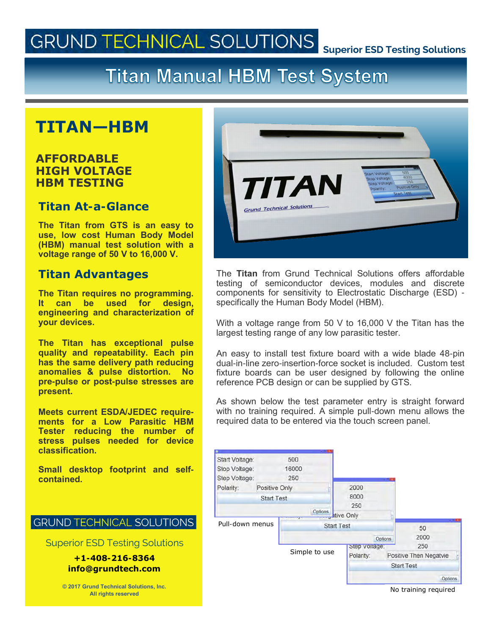# **GRUND TECHNICAL SOLUTIONS**

## **Superior ESD Testing Solutions**

# **Titan Manual HBM Test System**

## **TITAN—HBM**

## **AFFORDABLE HIGH VOLTAGE HBM TESTING**

## **Titan At-a-Glance**

**The Titan from GTS is an easy to use, low cost Human Body Model (HBM) manual test solution with a voltage range of 50 V to 16,000 V.**

## **Titan Advantages**

**The Titan requires no programming. It can be used for design, engineering and characterization of your devices.**

**The Titan has exceptional pulse quality and repeatability. Each pin has the same delivery path reducing anomalies & pulse distortion. No pre-pulse or post-pulse stresses are present.**

**Meets current ESDA/JEDEC requirements for a Low Parasitic HBM Tester reducing the number of stress pulses needed for device classification.**

**Small desktop footprint and selfcontained.**

## **GRUND TECHNICAL SOLUTIONS**

Superior ESD Testing Solutions

#### **+1-408-216-8364 info@grundtech.com**

**© 2017 Grund Technical Solutions, Inc. All rights reserved**



The **Titan** from Grund Technical Solutions offers affordable testing of semiconductor devices, modules and discrete components for sensitivity to Electrostatic Discharge (ESD) specifically the Human Body Model (HBM).

With a voltage range from 50 V to 16,000 V the Titan has the largest testing range of any low parasitic tester.

An easy to install test fixture board with a wide blade 48-pin dual-in-line zero-insertion-force socket is included. Custom test fixture boards can be user designed by following the online reference PCB design or can be supplied by GTS.

As shown below the test parameter entry is straight forward with no training required. A simple pull-down menu allows the required data to be entered via the touch screen panel.

|                 |                   |                   |             | <b>Start Test</b><br>Options |                |                               |  |
|-----------------|-------------------|-------------------|-------------|------------------------------|----------------|-------------------------------|--|
|                 |                   | Simple to use     |             | Step Voltage:<br>Polarity:   |                | 250<br>Positive Then Negatvie |  |
|                 |                   |                   |             |                              | <b>Options</b> | 2000                          |  |
| Pull-down menus |                   | <b>Start Test</b> |             |                              |                | 50                            |  |
| Options         |                   |                   |             | <b>Itive Only</b>            |                |                               |  |
|                 | <b>Start Test</b> |                   | 8000<br>250 |                              |                |                               |  |
| Polarity:       | Positive Only     |                   |             | 2000                         |                |                               |  |
| Step Voltage:   |                   | 250               |             |                              |                |                               |  |
| Stop Voltage:   |                   | 16000             |             |                              |                |                               |  |
| Start Voltage:  |                   | 500               |             |                              |                |                               |  |

No training required